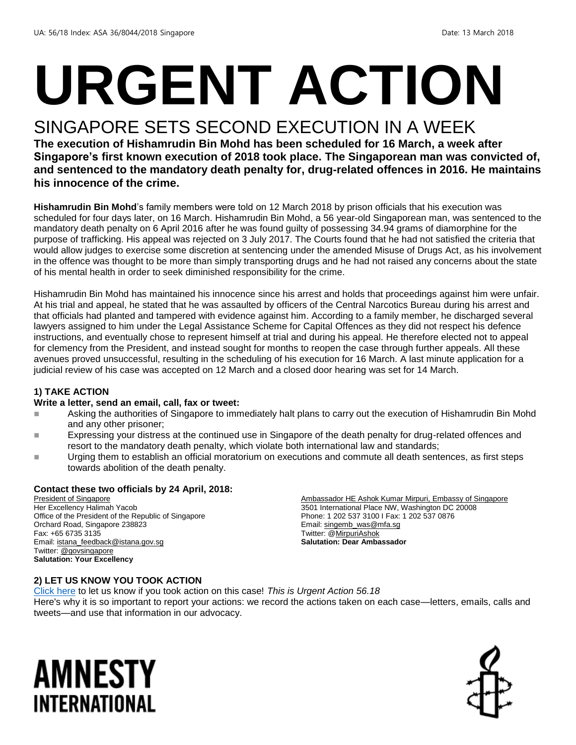# **URGENT ACTION**

#### SINGAPORE SETS SECOND EXECUTION IN A WEEK

**The execution of Hishamrudin Bin Mohd has been scheduled for 16 March, a week after Singapore's first known execution of 2018 took place. The Singaporean man was convicted of, and sentenced to the mandatory death penalty for, drug-related offences in 2016. He maintains his innocence of the crime.**

**Hishamrudin Bin Mohd**'s family members were told on 12 March 2018 by prison officials that his execution was scheduled for four days later, on 16 March. Hishamrudin Bin Mohd, a 56 year-old Singaporean man, was sentenced to the mandatory death penalty on 6 April 2016 after he was found guilty of possessing 34.94 grams of diamorphine for the purpose of trafficking. His appeal was rejected on 3 July 2017. The Courts found that he had not satisfied the criteria that would allow judges to exercise some discretion at sentencing under the amended Misuse of Drugs Act, as his involvement in the offence was thought to be more than simply transporting drugs and he had not raised any concerns about the state of his mental health in order to seek diminished responsibility for the crime.

Hishamrudin Bin Mohd has maintained his innocence since his arrest and holds that proceedings against him were unfair. At his trial and appeal, he stated that he was assaulted by officers of the Central Narcotics Bureau during his arrest and that officials had planted and tampered with evidence against him. According to a family member, he discharged several lawyers assigned to him under the Legal Assistance Scheme for Capital Offences as they did not respect his defence instructions, and eventually chose to represent himself at trial and during his appeal. He therefore elected not to appeal for clemency from the President, and instead sought for months to reopen the case through further appeals. All these avenues proved unsuccessful, resulting in the scheduling of his execution for 16 March. A last minute application for a judicial review of his case was accepted on 12 March and a closed door hearing was set for 14 March.

#### **1) TAKE ACTION**

#### **Write a letter, send an email, call, fax or tweet:**

- **Asking the authorities of Singapore to immediately halt plans to carry out the execution of Hishamrudin Bin Mohd** and any other prisoner;
- **Expressing your distress at the continued use in Singapore of the death penalty for drug-related offences and** resort to the mandatory death penalty, which violate both international law and standards;
- Urging them to establish an official moratorium on executions and commute all death sentences, as first steps towards abolition of the death penalty.

#### **Contact these two officials by 24 April, 2018:**

President of Singapore Her Excellency Halimah Yacob Office of the President of the Republic of Singapore Orchard Road, Singapore 238823 Fax: +65 6735 3135 Email[: istana\\_feedback@istana.gov.sg](mailto:istana_feedback@istana.gov.sg) Twitter[: @govsingapore](https://twitter.com/govsingapore) **Salutation: Your Excellency**

Ambassador HE Ashok Kumar Mirpuri, Embassy of Singapore 3501 International Place NW, Washington DC 20008 Phone: 1 202 537 3100 I Fax: 1 202 537 0876 Email[: singemb\\_was@mfa.sg](mailto:singemb_was@mfa.sg) Twitter: [@MirpuriAshok](https://twitter.com/mirpuriashok) **Salutation: Dear Ambassador**

#### **2) LET US KNOW YOU TOOK ACTION**

[Click here](https://www.amnestyusa.org/report-urgent-actions/) to let us know if you took action on this case! *This is Urgent Action 56.18*  Here's why it is so important to report your actions: we record the actions taken on each case—letters, emails, calls and tweets—and use that information in our advocacy.

### AMNESTY INTERNATIONAL